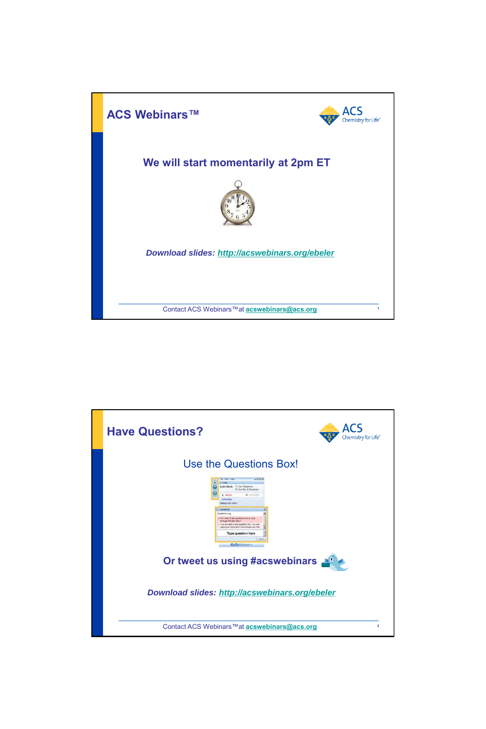

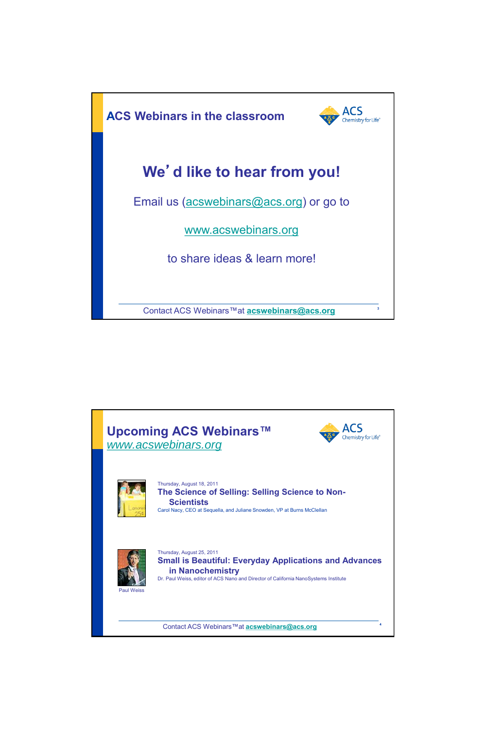

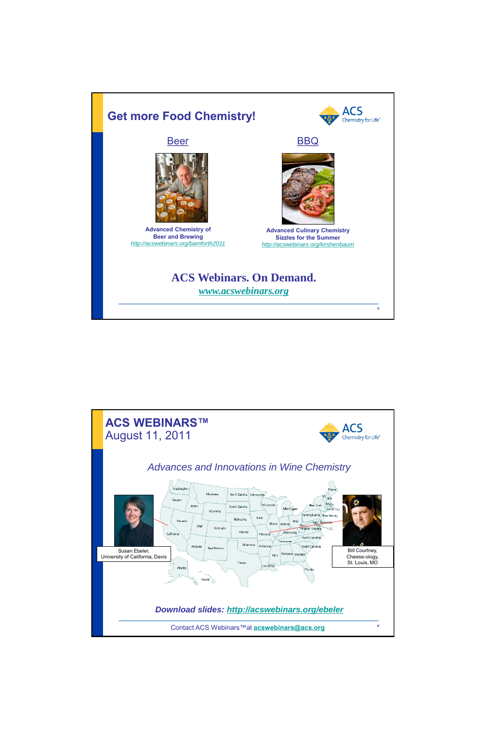

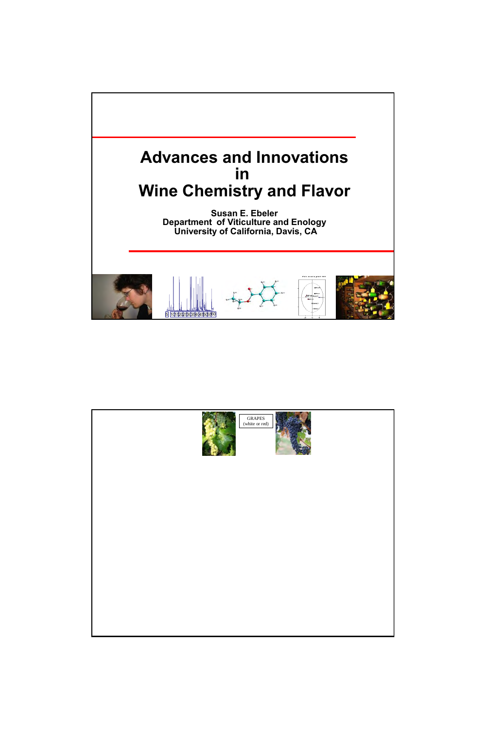

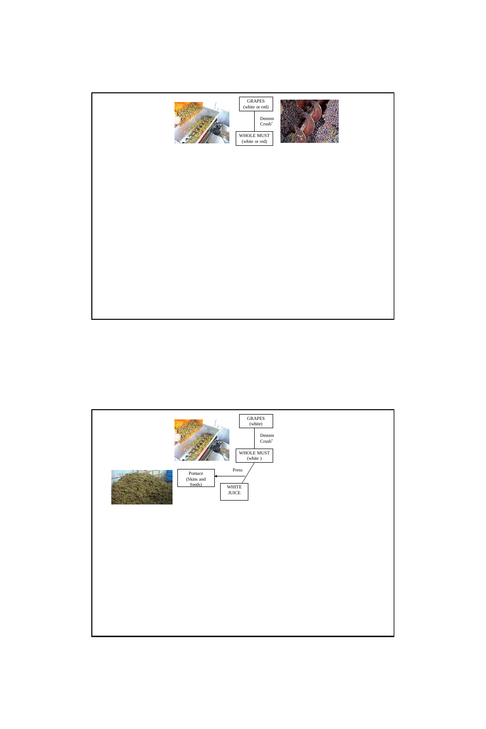

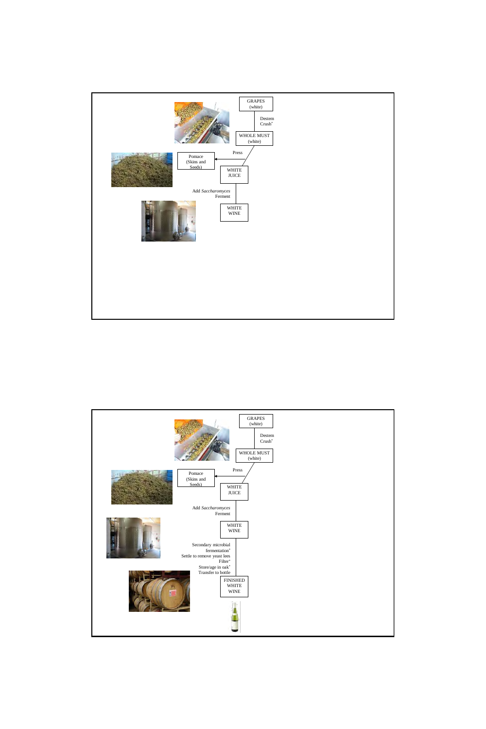

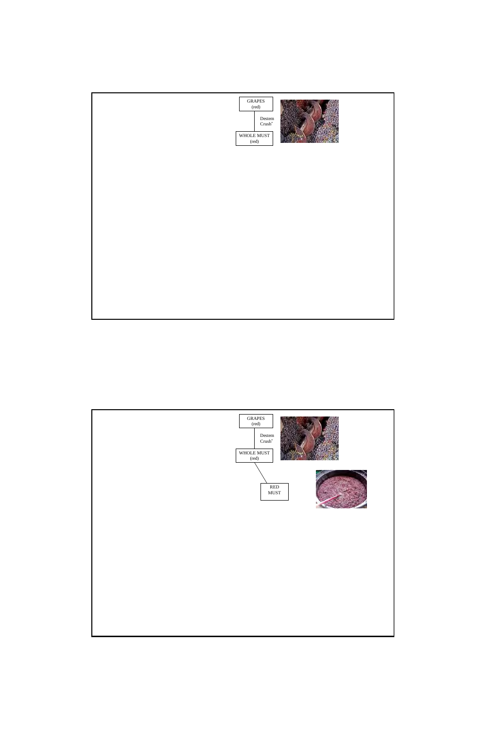

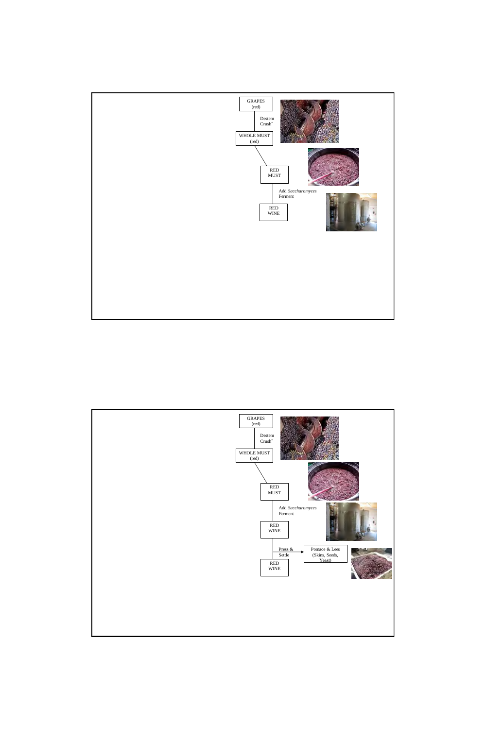

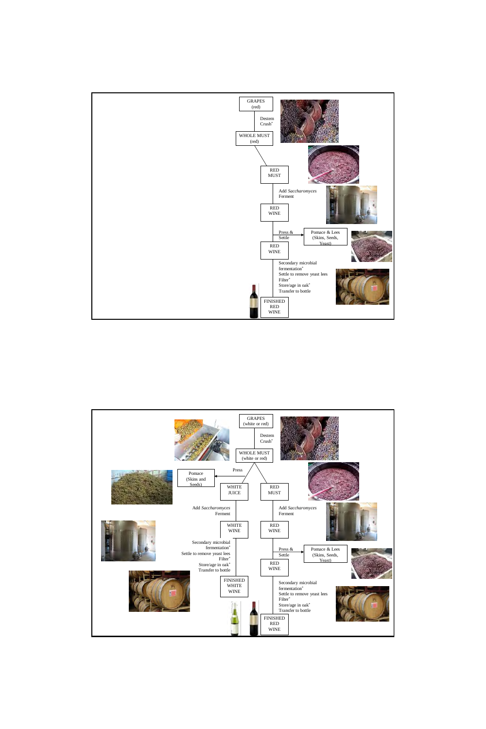

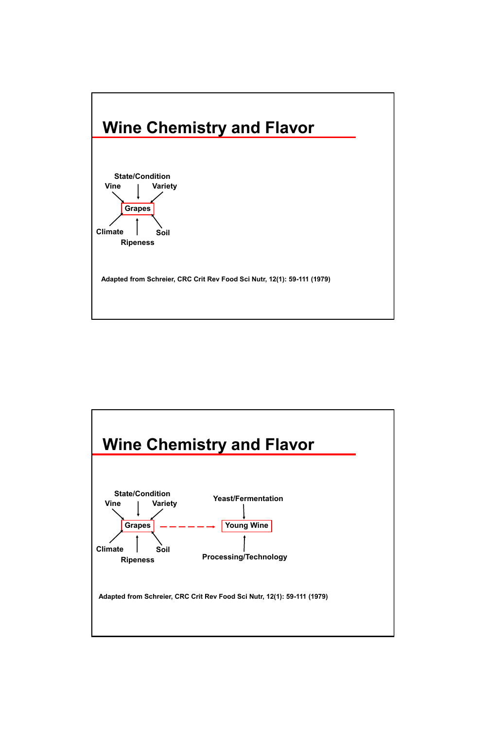

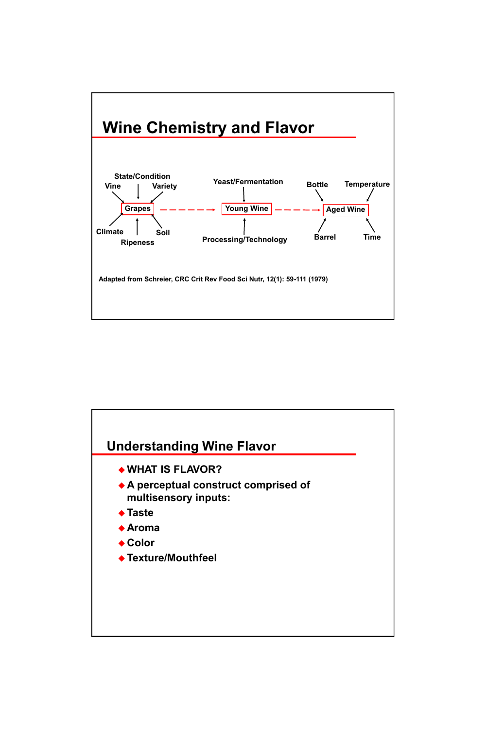

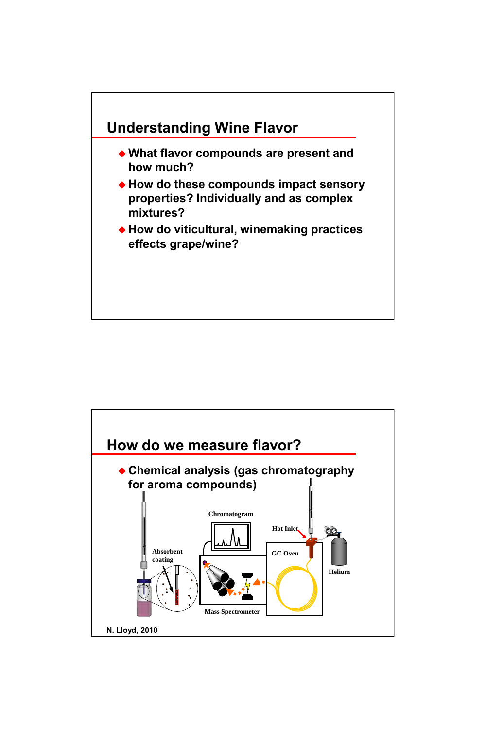

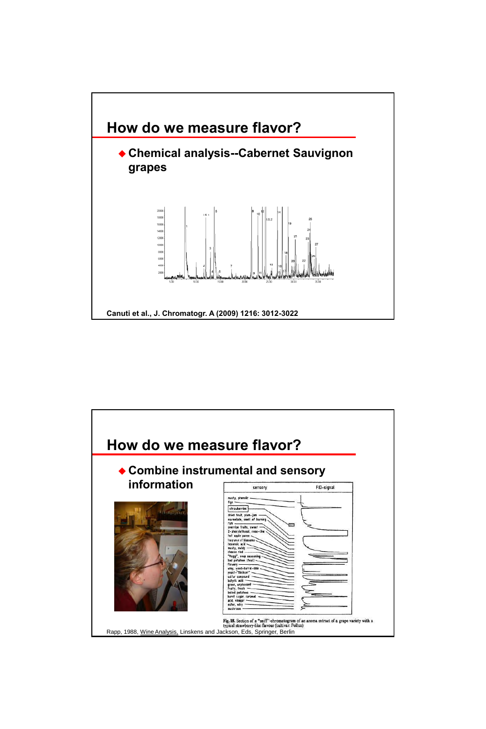

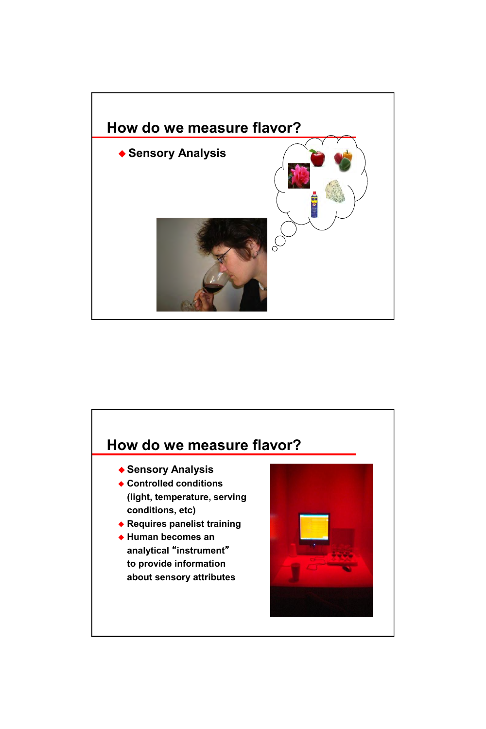

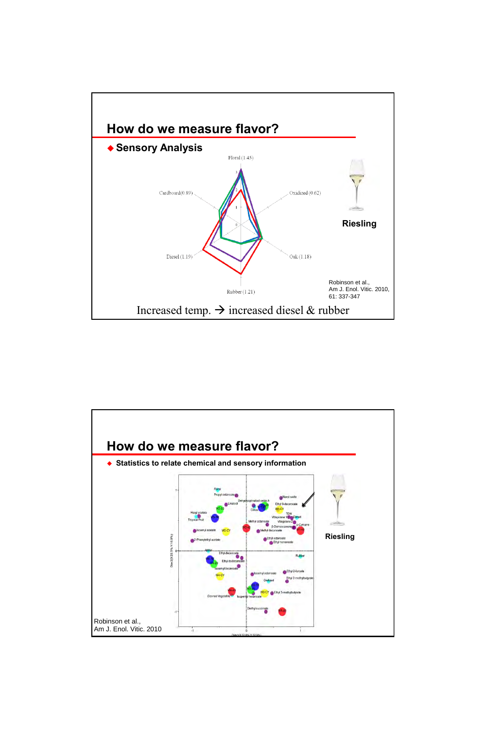

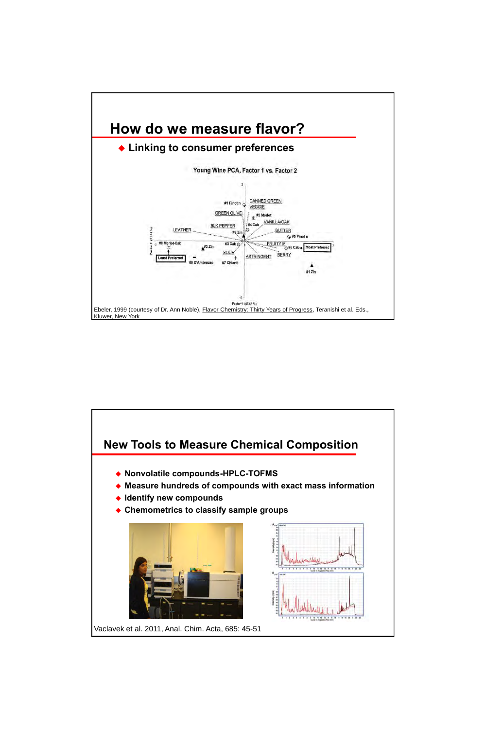

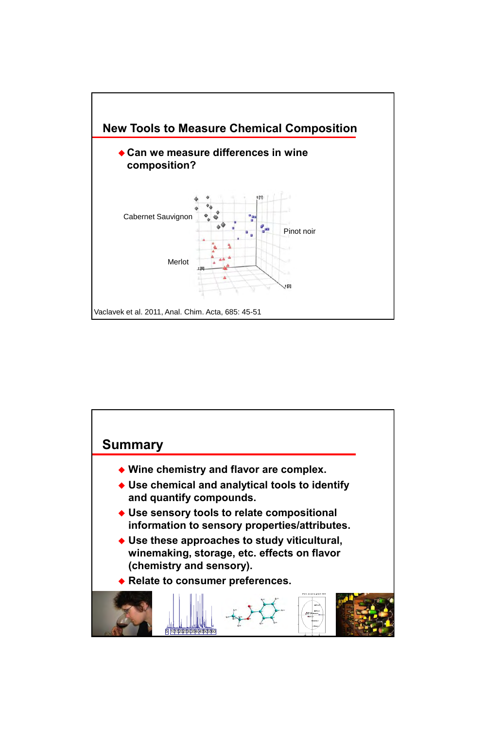

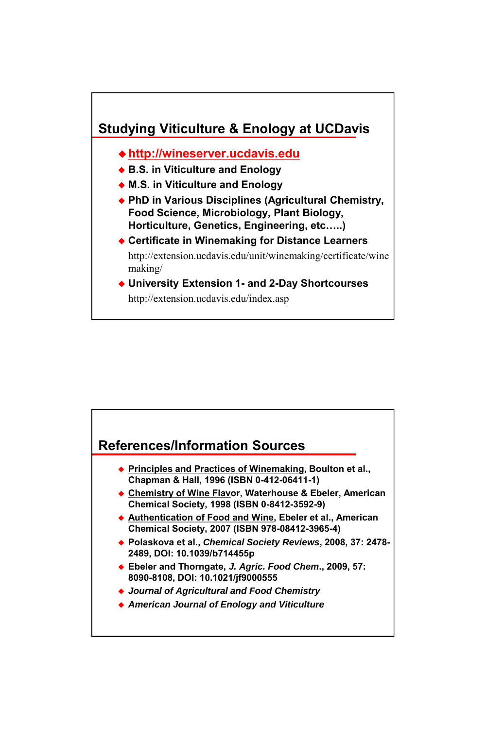

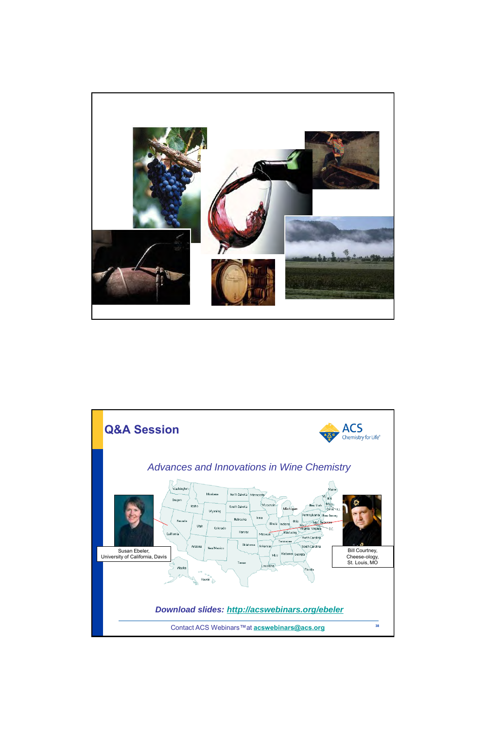

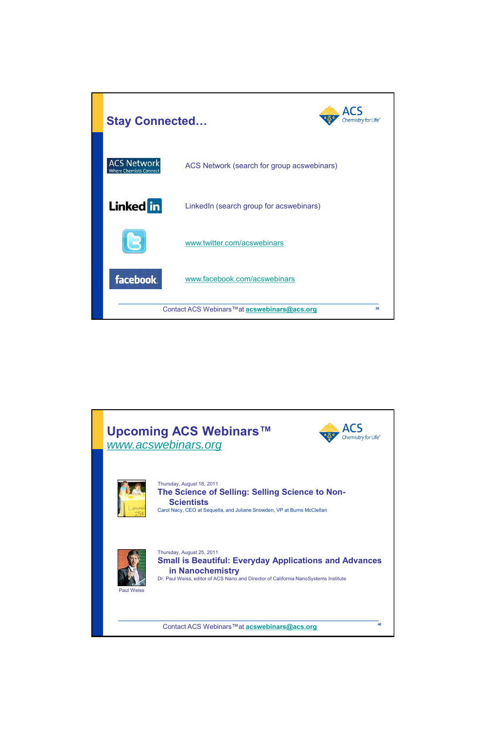

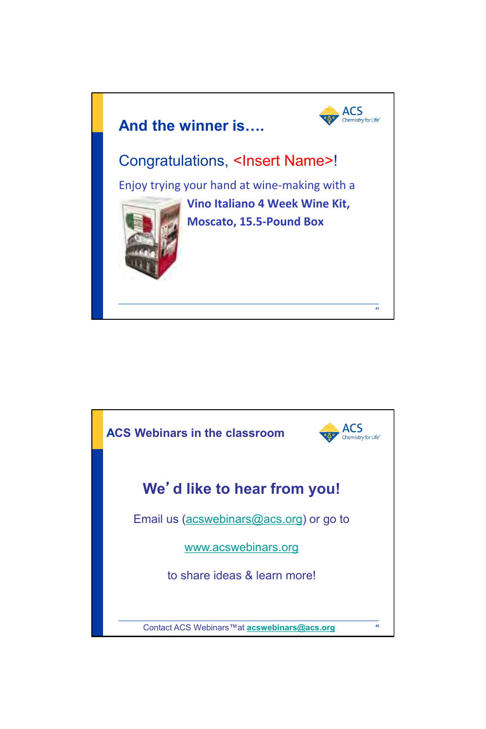